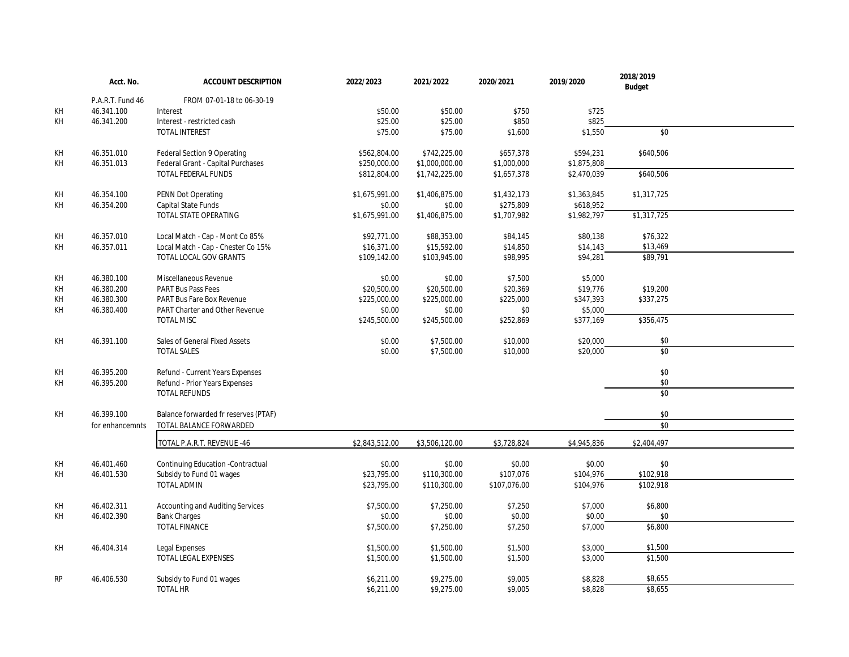|           | Acct. No.        | <b>ACCOUNT DESCRIPTION</b>           | 2022/2023      | 2021/2022      | 2020/2021    | 2019/2020   | 2018/2019<br><b>Budget</b> |  |
|-----------|------------------|--------------------------------------|----------------|----------------|--------------|-------------|----------------------------|--|
|           | P.A.R.T. Fund 46 | FROM 07-01-18 to 06-30-19            |                |                |              |             |                            |  |
| KH        | 46.341.100       | Interest                             | \$50.00        | \$50.00        | \$750        | \$725       |                            |  |
| KH        | 46.341.200       | Interest - restricted cash           | \$25.00        | \$25.00        | \$850        | \$825       |                            |  |
|           |                  | TOTAL INTEREST                       | \$75.00        | \$75.00        | \$1,600      | \$1,550     | \$0                        |  |
| KH        | 46.351.010       | Federal Section 9 Operating          | \$562,804.00   | \$742,225.00   | \$657,378    | \$594,231   | \$640,506                  |  |
| KH        | 46.351.013       | Federal Grant - Capital Purchases    | \$250,000.00   | \$1,000,000.00 | \$1,000,000  | \$1,875,808 |                            |  |
|           |                  | TOTAL FEDERAL FUNDS                  | \$812,804.00   | \$1,742,225.00 | \$1,657,378  | \$2,470,039 | \$640,506                  |  |
| KH        | 46.354.100       | PENN Dot Operating                   | \$1,675,991.00 | \$1,406,875.00 | \$1,432,173  | \$1,363,845 | \$1,317,725                |  |
| KH        | 46.354.200       | Capital State Funds                  | \$0.00         | \$0.00         | \$275,809    | \$618,952   |                            |  |
|           |                  | TOTAL STATE OPERATING                | \$1,675,991.00 | \$1,406,875.00 | \$1,707,982  | \$1,982,797 | \$1,317,725                |  |
| KH        | 46.357.010       | Local Match - Cap - Mont Co 85%      | \$92,771.00    | \$88,353.00    | \$84,145     | \$80,138    | \$76,322                   |  |
| KH        | 46.357.011       | Local Match - Cap - Chester Co 15%   | \$16,371.00    | \$15,592.00    | \$14,850     | \$14,143    | \$13,469                   |  |
|           |                  | TOTAL LOCAL GOV GRANTS               | \$109,142.00   | \$103,945.00   | \$98,995     | \$94,281    | \$89,791                   |  |
| KH        | 46.380.100       | Miscellaneous Revenue                | \$0.00         | \$0.00         | \$7,500      | \$5,000     |                            |  |
| KH        | 46.380.200       | PART Bus Pass Fees                   | \$20,500.00    | \$20,500.00    | \$20,369     | \$19,776    | \$19,200                   |  |
| KH        | 46.380.300       | PART Bus Fare Box Revenue            | \$225,000.00   | \$225,000.00   | \$225,000    | \$347,393   | \$337,275                  |  |
| KH        | 46.380.400       | PART Charter and Other Revenue       | \$0.00         | \$0.00         | \$0          | \$5,000     |                            |  |
|           |                  | <b>TOTAL MISC</b>                    | \$245,500.00   | \$245,500.00   | \$252,869    | \$377,169   | \$356,475                  |  |
| KH        | 46.391.100       | Sales of General Fixed Assets        | \$0.00         | \$7,500.00     | \$10,000     | \$20,000    | \$0                        |  |
|           |                  | <b>TOTAL SALES</b>                   | \$0.00         | \$7,500.00     | \$10,000     | \$20,000    | \$0                        |  |
| KH        | 46.395.200       | Refund - Current Years Expenses      |                |                |              |             | \$0                        |  |
| KH        | 46.395.200       | Refund - Prior Years Expenses        |                |                |              |             | $$0$                       |  |
|           |                  | TOTAL REFUNDS                        |                |                |              |             | $\overline{30}$            |  |
| KH        | 46.399.100       | Balance forwarded fr reserves (PTAF) |                |                |              |             | \$0                        |  |
|           | for enhancemnts  | TOTAL BALANCE FORWARDED              |                |                |              |             | \$0                        |  |
|           |                  | TOTAL P.A.R.T. REVENUE -46           | \$2,843,512.00 | \$3,506,120.00 | \$3,728,824  | \$4,945,836 | \$2,404,497                |  |
| KH        | 46.401.460       | Continuing Education -Contractual    | \$0.00         | \$0.00         | \$0.00       | \$0.00      | \$0                        |  |
| KH        | 46.401.530       | Subsidy to Fund 01 wages             | \$23,795.00    | \$110,300.00   | \$107,076    | \$104,976   | \$102,918                  |  |
|           |                  | <b>TOTAL ADMIN</b>                   | \$23,795.00    | \$110,300.00   | \$107,076.00 | \$104,976   | \$102,918                  |  |
| KH        | 46.402.311       | Accounting and Auditing Services     | \$7,500.00     | \$7,250.00     | \$7,250      | \$7,000     | \$6,800                    |  |
| KH        | 46.402.390       | <b>Bank Charges</b>                  | \$0.00         | \$0.00         | \$0.00       | \$0.00      | \$0                        |  |
|           |                  | TOTAL FINANCE                        | \$7,500.00     | \$7,250.00     | \$7,250      | \$7,000     | \$6,800                    |  |
| KH        | 46.404.314       | Legal Expenses                       | \$1,500.00     | \$1,500.00     | \$1,500      | \$3,000     | \$1,500                    |  |
|           |                  | TOTAL LEGAL EXPENSES                 | \$1,500.00     | \$1,500.00     | \$1,500      | \$3,000     | \$1,500                    |  |
| <b>RP</b> | 46.406.530       | Subsidy to Fund 01 wages             | \$6,211.00     | \$9,275.00     | \$9,005      | \$8,828     | \$8,655                    |  |
|           |                  | <b>TOTAL HR</b>                      | \$6,211.00     | \$9,275.00     | \$9,005      | \$8,828     | \$8,655                    |  |